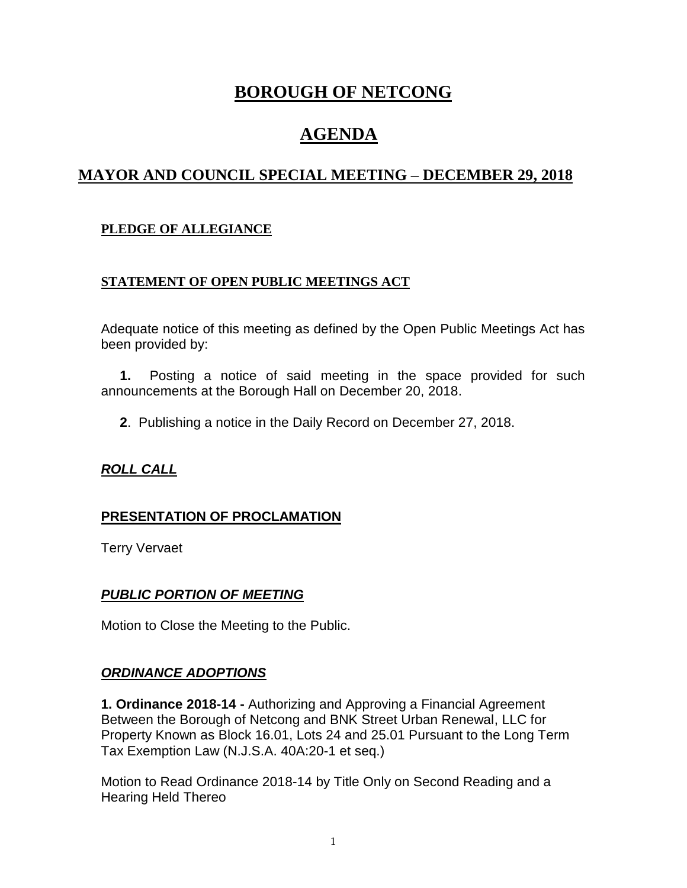# **BOROUGH OF NETCONG**

# **AGENDA**

# **MAYOR AND COUNCIL SPECIAL MEETING – DECEMBER 29, 2018**

## **PLEDGE OF ALLEGIANCE**

#### **STATEMENT OF OPEN PUBLIC MEETINGS ACT**

Adequate notice of this meeting as defined by the Open Public Meetings Act has been provided by:

 **1.** Posting a notice of said meeting in the space provided for such announcements at the Borough Hall on December 20, 2018.

**2**. Publishing a notice in the Daily Record on December 27, 2018.

#### *ROLL CALL*

#### **PRESENTATION OF PROCLAMATION**

Terry Vervaet

#### *PUBLIC PORTION OF MEETING*

Motion to Close the Meeting to the Public.

#### *ORDINANCE ADOPTIONS*

**1. Ordinance 2018-14 -** Authorizing and Approving a Financial Agreement Between the Borough of Netcong and BNK Street Urban Renewal, LLC for Property Known as Block 16.01, Lots 24 and 25.01 Pursuant to the Long Term Tax Exemption Law (N.J.S.A. 40A:20-1 et seq.)

Motion to Read Ordinance 2018-14 by Title Only on Second Reading and a Hearing Held Thereo